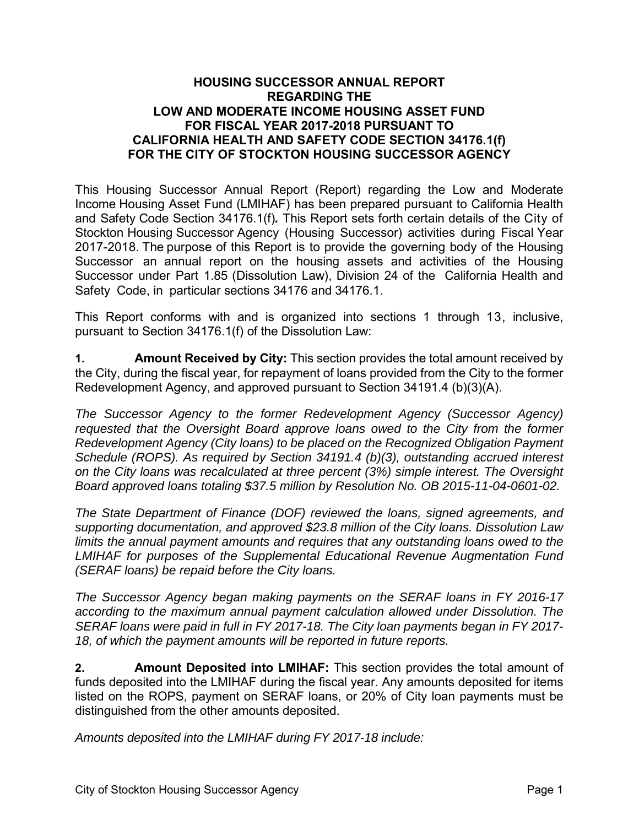## **HOUSING SUCCESSOR ANNUAL REPORT REGARDING THE LOW AND MODERATE INCOME HOUSING ASSET FUND FOR FISCAL YEAR 2017-2018 PURSUANT TO CALIFORNIA HEALTH AND SAFETY CODE SECTION 34176.1(f) FOR THE CITY OF STOCKTON HOUSING SUCCESSOR AGENCY**

This Housing Successor Annual Report (Report) regarding the Low and Moderate Income Housing Asset Fund (LMIHAF) has been prepared pursuant to California Health and Safety Code Section 34176.1(f)*.* This Report sets forth certain details of the City of Stockton Housing Successor Agency (Housing Successor) activities during Fiscal Year 2017-2018. The purpose of this Report is to provide the governing body of the Housing Successor an annual report on the housing assets and activities of the Housing Successor under Part 1.85 (Dissolution Law), Division 24 of the California Health and Safety Code, in particular sections 34176 and 34176.1.

This Report conforms with and is organized into sections 1 through 13, inclusive, pursuant to Section 34176.1(f) of the Dissolution Law:

**1. Amount Received by City:** This section provides the total amount received by the City, during the fiscal year, for repayment of loans provided from the City to the former Redevelopment Agency, and approved pursuant to Section 34191.4 (b)(3)(A).

*The Successor Agency to the former Redevelopment Agency (Successor Agency) requested that the Oversight Board approve loans owed to the City from the former Redevelopment Agency (City loans) to be placed on the Recognized Obligation Payment Schedule (ROPS). As required by Section 34191.4 (b)(3), outstanding accrued interest on the City loans was recalculated at three percent (3%) simple interest. The Oversight Board approved loans totaling \$37.5 million by Resolution No. OB 2015-11-04-0601-02.* 

*The State Department of Finance (DOF) reviewed the loans, signed agreements, and supporting documentation, and approved \$23.8 million of the City loans. Dissolution Law limits the annual payment amounts and requires that any outstanding loans owed to the LMIHAF for purposes of the Supplemental Educational Revenue Augmentation Fund (SERAF loans) be repaid before the City loans.* 

*The Successor Agency began making payments on the SERAF loans in FY 2016-17 according to the maximum annual payment calculation allowed under Dissolution. The SERAF loans were paid in full in FY 2017-18. The City loan payments began in FY 2017- 18, of which the payment amounts will be reported in future reports.* 

**2. Amount Deposited into LMIHAF:** This section provides the total amount of funds deposited into the LMIHAF during the fiscal year. Any amounts deposited for items listed on the ROPS, payment on SERAF loans, or 20% of City loan payments must be distinguished from the other amounts deposited.

*Amounts deposited into the LMIHAF during FY 2017-18 include:*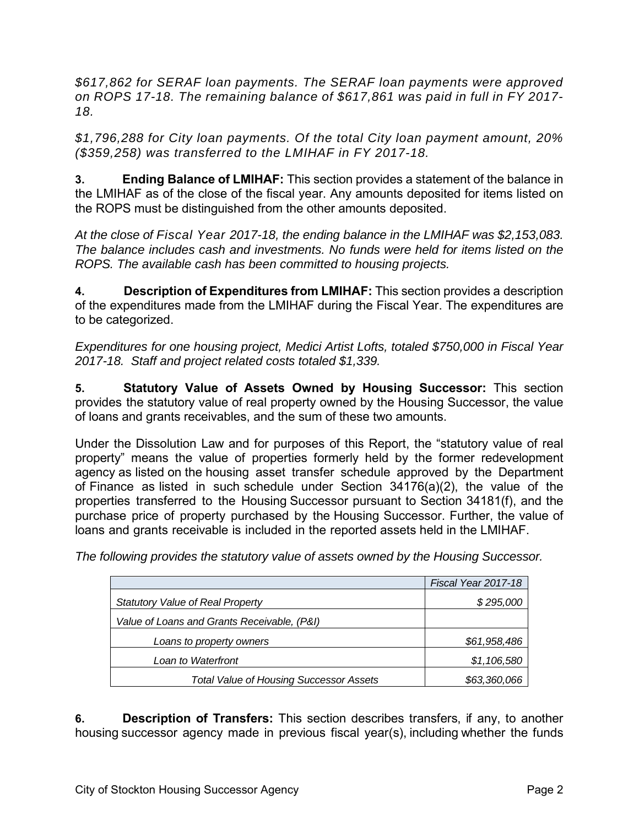*\$617,862 for SERAF loan payments. The SERAF loan payments were approved on ROPS 17-18. The remaining balance of \$617,861 was paid in full in FY 2017- 18.* 

*\$1,796,288 for City loan payments. Of the total City loan payment amount, 20% (\$359,258) was transferred to the LMIHAF in FY 2017-18.* 

**3. Ending Balance of LMIHAF:** This section provides a statement of the balance in the LMIHAF as of the close of the fiscal year. Any amounts deposited for items listed on the ROPS must be distinguished from the other amounts deposited.

*At the close of Fiscal Year 2017-18, the ending balance in the LMIHAF was \$2,153,083. The balance includes cash and investments. No funds were held for items listed on the ROPS. The available cash has been committed to housing projects.* 

**4. Description of Expenditures from LMIHAF:** This section provides a description of the expenditures made from the LMIHAF during the Fiscal Year. The expenditures are to be categorized.

*Expenditures for one housing project, Medici Artist Lofts, totaled \$750,000 in Fiscal Year 2017-18. Staff and project related costs totaled \$1,339.* 

**5. Statutory Value of Assets Owned by Housing Successor:** This section provides the statutory value of real property owned by the Housing Successor, the value of loans and grants receivables, and the sum of these two amounts.

Under the Dissolution Law and for purposes of this Report, the "statutory value of real property" means the value of properties formerly held by the former redevelopment agency as listed on the housing asset transfer schedule approved by the Department of Finance as listed in such schedule under Section 34176(a)(2), the value of the properties transferred to the Housing Successor pursuant to Section 34181(f), and the purchase price of property purchased by the Housing Successor. Further, the value of loans and grants receivable is included in the reported assets held in the LMIHAF.

*The following provides the statutory value of assets owned by the Housing Successor.* 

|                                                | Fiscal Year 2017-18 |
|------------------------------------------------|---------------------|
| <b>Statutory Value of Real Property</b>        | \$295,000           |
| Value of Loans and Grants Receivable, (P&I)    |                     |
| Loans to property owners                       | \$61,958,486        |
| Loan to Waterfront                             | \$1,106,580         |
| <b>Total Value of Housing Successor Assets</b> | \$63,360,066        |

**6. Description of Transfers:** This section describes transfers, if any, to another housing successor agency made in previous fiscal year(s), including whether the funds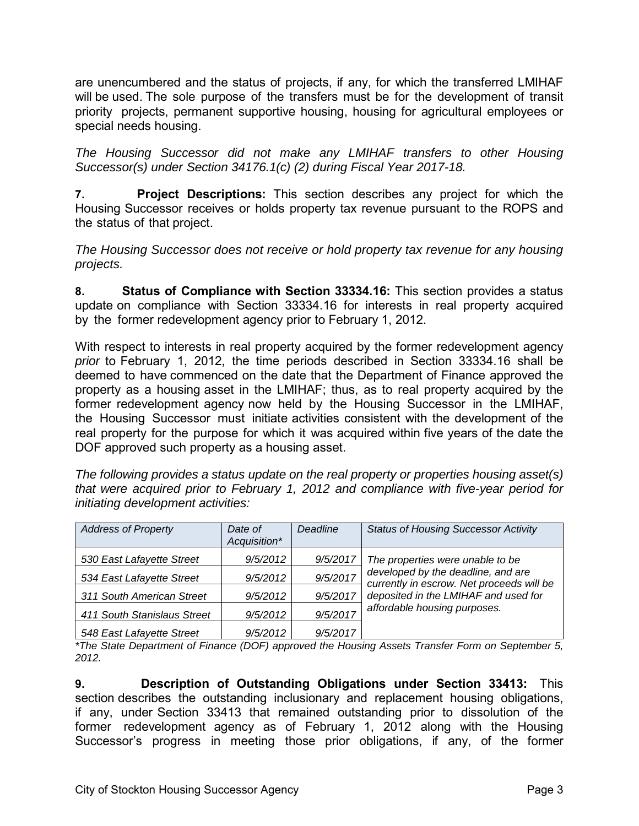are unencumbered and the status of projects, if any, for which the transferred LMIHAF will be used. The sole purpose of the transfers must be for the development of transit priority projects, permanent supportive housing, housing for agricultural employees or special needs housing.

*The Housing Successor did not make any LMIHAF transfers to other Housing Successor(s) under Section 34176.1(c) (2) during Fiscal Year 2017-18.*

**7. Project Descriptions:** This section describes any project for which the Housing Successor receives or holds property tax revenue pursuant to the ROPS and the status of that project.

*The Housing Successor does not receive or hold property tax revenue for any housing projects.* 

**8. Status of Compliance with Section 33334.16:** This section provides a status update on compliance with Section 33334.16 for interests in real property acquired by the former redevelopment agency prior to February 1, 2012.

With respect to interests in real property acquired by the former redevelopment agency *prior* to February 1, 2012, the time periods described in Section 33334.16 shall be deemed to have commenced on the date that the Department of Finance approved the property as a housing asset in the LMIHAF; thus, as to real property acquired by the former redevelopment agency now held by the Housing Successor in the LMIHAF, the Housing Successor must initiate activities consistent with the development of the real property for the purpose for which it was acquired within five years of the date the DOF approved such property as a housing asset.

*The following provides a status update on the real property or properties housing asset(s) that were acquired prior to February 1, 2012 and compliance with five-year period for initiating development activities:* 

| <b>Address of Property</b>  | Date of<br>Acquisition* | <b>Deadline</b> | <b>Status of Housing Successor Activity</b>                                     |
|-----------------------------|-------------------------|-----------------|---------------------------------------------------------------------------------|
| 530 East Lafayette Street   | 9/5/2012                | 9/5/2017        | The properties were unable to be                                                |
| 534 East Lafayette Street   | 9/5/2012                | 9/5/2017        | developed by the deadline, and are<br>currently in escrow. Net proceeds will be |
| 311 South American Street   | 9/5/2012                | 9/5/2017        | deposited in the LMIHAF and used for                                            |
| 411 South Stanislaus Street | 9/5/2012                | 9/5/2017        | affordable housing purposes.                                                    |
| 548 East Lafayette Street   | 9/5/2012                | 9/5/2017        |                                                                                 |

*\*The State Department of Finance (DOF) approved the Housing Assets Transfer Form on September 5, 2012.* 

**9. Description of Outstanding Obligations under Section 33413:** This section describes the outstanding inclusionary and replacement housing obligations, if any, under Section 33413 that remained outstanding prior to dissolution of the former redevelopment agency as of February 1, 2012 along with the Housing Successor's progress in meeting those prior obligations, if any, of the former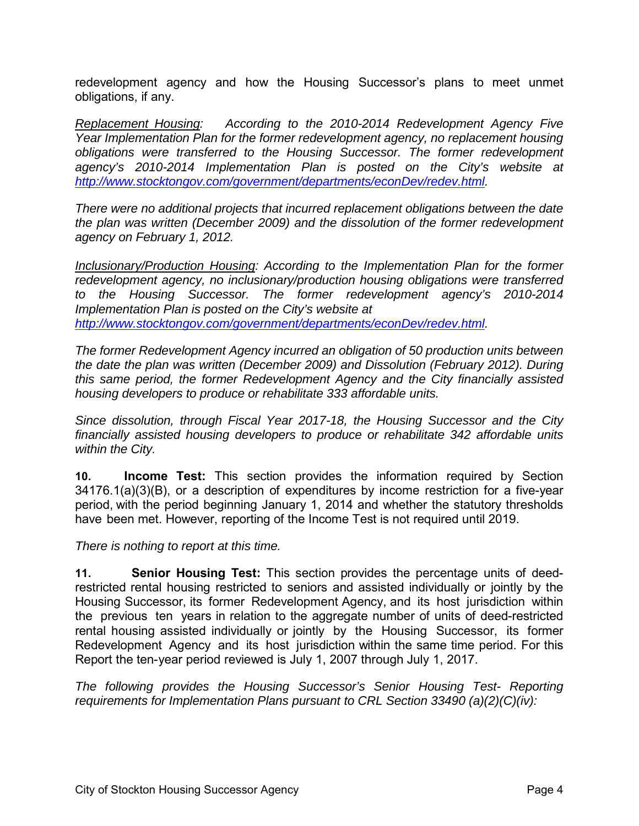redevelopment agency and how the Housing Successor's plans to meet unmet obligations, if any.

*Replacement Housing: According to the 2010-2014 Redevelopment Agency Five Year Implementation Plan for the former redevelopment agency, no replacement housing obligations were transferred to the Housing Successor. The former redevelopment agency's 2010-2014 Implementation Plan is posted on the City's website at http://www.stocktongov.com/government/departments/econDev/redev.html.* 

*There were no additional projects that incurred replacement obligations between the date the plan was written (December 2009) and the dissolution of the former redevelopment agency on February 1, 2012.* 

*Inclusionary/Production Housing: According to the Implementation Plan for the former redevelopment agency, no inclusionary/production housing obligations were transferred to the Housing Successor. The former redevelopment agency's 2010-2014 Implementation Plan is posted on the City's website at http://www.stocktongov.com/government/departments/econDev/redev.html.* 

*The former Redevelopment Agency incurred an obligation of 50 production units between the date the plan was written (December 2009) and Dissolution (February 2012). During this same period, the former Redevelopment Agency and the City financially assisted housing developers to produce or rehabilitate 333 affordable units.* 

*Since dissolution, through Fiscal Year 2017-18, the Housing Successor and the City financially assisted housing developers to produce or rehabilitate 342 affordable units within the City.* 

**10. Income Test:** This section provides the information required by Section 34176.1(a)(3)(B), or a description of expenditures by income restriction for a five-year period, with the period beginning January 1, 2014 and whether the statutory thresholds have been met. However, reporting of the Income Test is not required until 2019.

*There is nothing to report at this time.*

**11. Senior Housing Test:** This section provides the percentage units of deedrestricted rental housing restricted to seniors and assisted individually or jointly by the Housing Successor, its former Redevelopment Agency, and its host jurisdiction within the previous ten years in relation to the aggregate number of units of deed-restricted rental housing assisted individually or jointly by the Housing Successor, its former Redevelopment Agency and its host jurisdiction within the same time period. For this Report the ten-year period reviewed is July 1, 2007 through July 1, 2017.

*The following provides the Housing Successor's Senior Housing Test- Reporting requirements for Implementation Plans pursuant to CRL Section 33490 (a)(2)(C)(iv):*